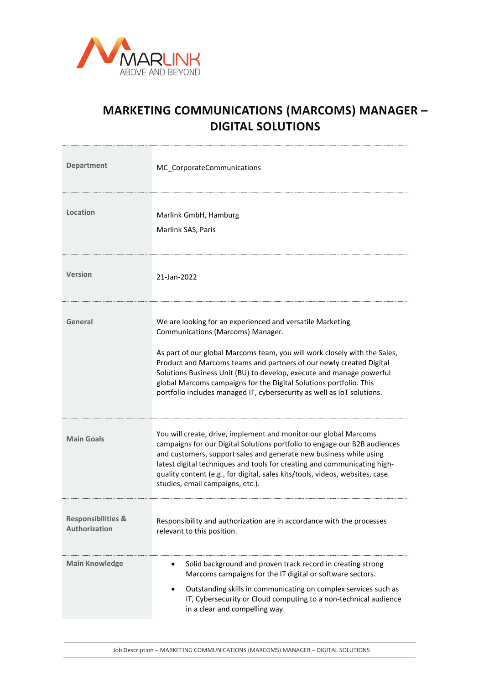

## **MARKETING COMMUNICATIONS (MARCOMS) MANAGER – DIGITAL SOLUTIONS**

| <b>Department</b>                                     | MC_CorporateCommunications                                                                                                                                                                                                                                                                                                                                                                                                                                                 |
|-------------------------------------------------------|----------------------------------------------------------------------------------------------------------------------------------------------------------------------------------------------------------------------------------------------------------------------------------------------------------------------------------------------------------------------------------------------------------------------------------------------------------------------------|
| Location                                              | Marlink GmbH, Hamburg<br>Marlink SAS, Paris                                                                                                                                                                                                                                                                                                                                                                                                                                |
| Version                                               | 21-Jan-2022                                                                                                                                                                                                                                                                                                                                                                                                                                                                |
| General                                               | We are looking for an experienced and versatile Marketing<br>Communications (Marcoms) Manager.<br>As part of our global Marcoms team, you will work closely with the Sales,<br>Product and Marcoms teams and partners of our newly created Digital<br>Solutions Business Unit (BU) to develop, execute and manage powerful<br>global Marcoms campaigns for the Digital Solutions portfolio. This<br>portfolio includes managed IT, cybersecurity as well as IoT solutions. |
| <b>Main Goals</b>                                     | You will create, drive, implement and monitor our global Marcoms<br>campaigns for our Digital Solutions portfolio to engage our B2B audiences<br>and customers, support sales and generate new business while using<br>latest digital techniques and tools for creating and communicating high-<br>quality content (e.g., for digital, sales kits/tools, videos, websites, case<br>studies, email campaigns, etc.).                                                        |
| <b>Responsibilities &amp;</b><br><b>Authorization</b> | Responsibility and authorization are in accordance with the processes<br>relevant to this position.                                                                                                                                                                                                                                                                                                                                                                        |
| <b>Main Knowledge</b>                                 | Solid background and proven track record in creating strong<br>٠<br>Marcoms campaigns for the IT digital or software sectors.<br>Outstanding skills in communicating on complex services such as<br>$\bullet$<br>IT, Cybersecurity or Cloud computing to a non-technical audience<br>in a clear and compelling way.                                                                                                                                                        |